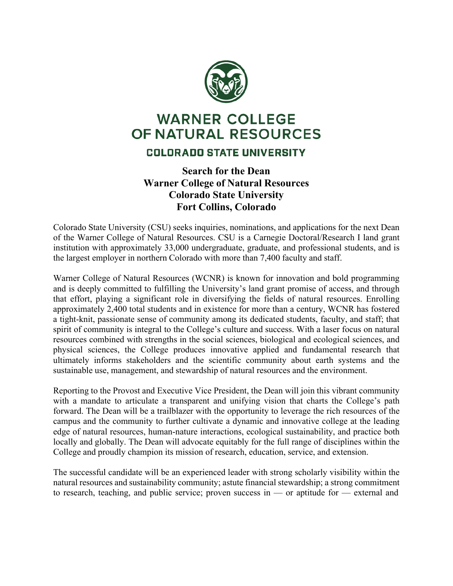

## **WARNER COLLEGE** OF NATURAL RESOURCES

## **COLORADO STATE UNIVERSITY**

## **Search for the Dean Warner College of Natural Resources Colorado State University Fort Collins, Colorado**

Colorado State University (CSU) seeks inquiries, nominations, and applications for the next Dean of the Warner College of Natural Resources. CSU is a Carnegie Doctoral/Research I land grant institution with approximately 33,000 undergraduate, graduate, and professional students, and is the largest employer in northern Colorado with more than 7,400 faculty and staff.

Warner College of Natural Resources (WCNR) is known for innovation and bold programming and is deeply committed to fulfilling the University's land grant promise of access, and through that effort, playing a significant role in diversifying the fields of natural resources. Enrolling approximately 2,400 total students and in existence for more than a century, WCNR has fostered a tight-knit, passionate sense of community among its dedicated students, faculty, and staff; that spirit of community is integral to the College's culture and success. With a laser focus on natural resources combined with strengths in the social sciences, biological and ecological sciences, and physical sciences, the College produces innovative applied and fundamental research that ultimately informs stakeholders and the scientific community about earth systems and the sustainable use, management, and stewardship of natural resources and the environment.

Reporting to the Provost and Executive Vice President, the Dean will join this vibrant community with a mandate to articulate a transparent and unifying vision that charts the College's path forward. The Dean will be a trailblazer with the opportunity to leverage the rich resources of the campus and the community to further cultivate a dynamic and innovative college at the leading edge of natural resources, human-nature interactions, ecological sustainability, and practice both locally and globally. The Dean will advocate equitably for the full range of disciplines within the College and proudly champion its mission of research, education, service, and extension.

The successful candidate will be an experienced leader with strong scholarly visibility within the natural resources and sustainability community; astute financial stewardship; a strong commitment to research, teaching, and public service; proven success in — or aptitude for — external and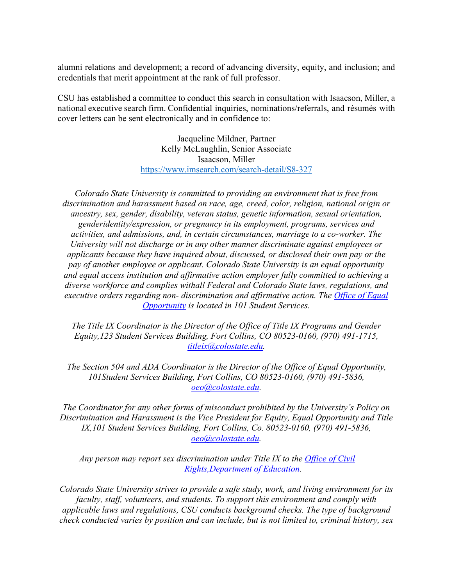alumni relations and development; a record of advancing diversity, equity, and inclusion; and credentials that merit appointment at the rank of full professor.

CSU has established a committee to conduct this search in consultation with Isaacson, Miller, a national executive search firm. Confidential inquiries, nominations/referrals, and résumés with cover letters can be sent electronically and in confidence to:

> Jacqueline Mildner, Partner Kelly McLaughlin, Senior Associate Isaacson, Miller <https://www.imsearch.com/search-detail/S8-327>

*Colorado State University is committed to providing an environment that is free from discrimination and harassment based on race, age, creed, color, religion, national origin or ancestry, sex, gender, disability, veteran status, genetic information, sexual orientation, genderidentity/expression, or pregnancy in its employment, programs, services and activities, and admissions, and, in certain circumstances, marriage to a co-worker. The University will not discharge or in any other manner discriminate against employees or applicants because they have inquired about, discussed, or disclosed their own pay or the pay of another employee or applicant. Colorado State University is an equal opportunity and equal access institution and affirmative action employer fully committed to achieving a diverse workforce and complies withall Federal and Colorado State laws, regulations, and executive orders regarding non- discrimination and affirmative action. The [Office of Equal](https://oeo.colostate.edu/)  [Opportunity](https://oeo.colostate.edu/) is located in 101 Student Services.*

*The Title IX Coordinator is the Director of the Office of Title IX Programs and Gender Equity,123 Student Services Building, Fort Collins, CO 80523-0160, (970) 491-1715, [titleix@colostate.edu.](mailto:titleix@colostate.edu)*

*The Section 504 and ADA Coordinator is the Director of the Office of Equal Opportunity, 101Student Services Building, Fort Collins, CO 80523-0160, (970) 491-5836, [oeo@colostate.edu.](mailto:oeo@colostate.edu)*

*The Coordinator for any other forms of misconduct prohibited by the University's Policy on Discrimination and Harassment is the Vice President for Equity, Equal Opportunity and Title IX,101 Student Services Building, Fort Collins, Co. 80523-0160, (970) 491-5836, [oeo@colostate.edu.](mailto:oeo@colostate.edu)*

*Any person may report sex discrimination under Title IX to the [Office of Civil](https://www2.ed.gov/about/offices/list/ocr/docs/howto.html) [Rights,D](https://www2.ed.gov/about/offices/list/ocr/docs/howto.html)epartment [of Education.](https://www2.ed.gov/about/offices/list/ocr/docs/howto.html)*

*Colorado State University strives to provide a safe study, work, and living environment for its faculty, staff, volunteers, and students. To support this environment and comply with applicable laws and regulations, CSU conducts background checks. The type of background check conducted varies by position and can include, but is not limited to, criminal history, sex*